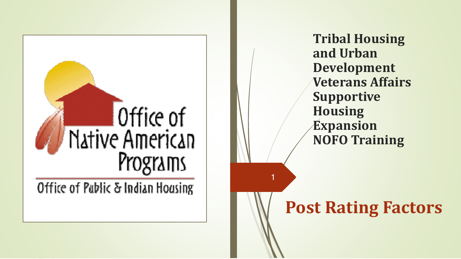

**Tribal Housing and Urban Development Veterans Affairs Supportive Housing Expansion NOFO Training**

### **Post Rating Factors**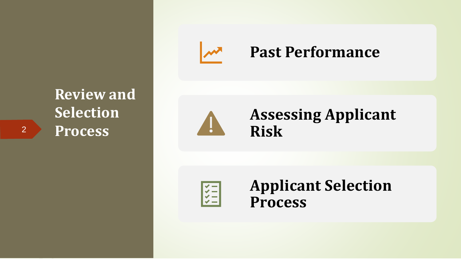

#### **Past Performance**

#### **Assessing Applicant Risk**

 $\frac{1}{1}$ 

**Applicant Selection Process**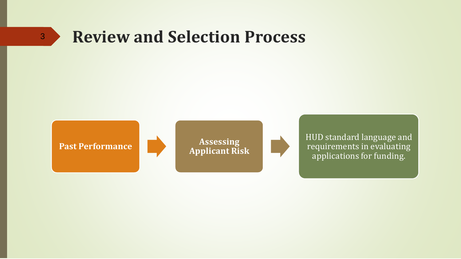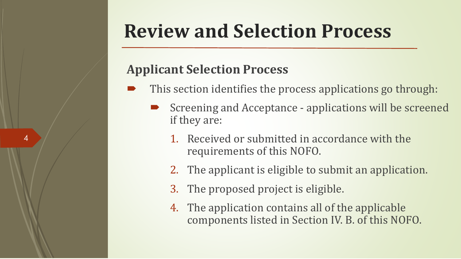#### **Applicant Selection Process**

- This section identifies the process applications go through:
	- Screening and Acceptance applications will be screened if they are:
		- 1. Received or submitted in accordance with the requirements of this NOFO.
		- 2. The applicant is eligible to submit an application.
		- 3. The proposed project is eligible.
		- 4. The application contains all of the applicable components listed in Section IV. B. of this NOFO.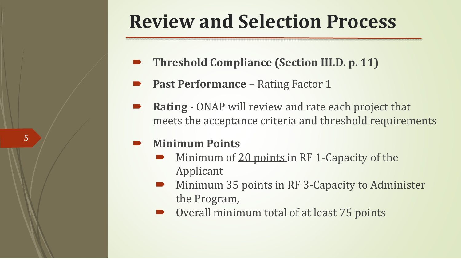- **Threshold Compliance (Section III.D. p. 11)**
- **Past Performance**  Rating Factor 1
- **Rating**  ONAP will review and rate each project that meets the acceptance criteria and threshold requirements

#### **Minimum Points**

- Minimum of 20 points in RF 1-Capacity of the Applicant
- Minimum 35 points in RF 3-Capacity to Administer the Program,
- Overall minimum total of at least 75 points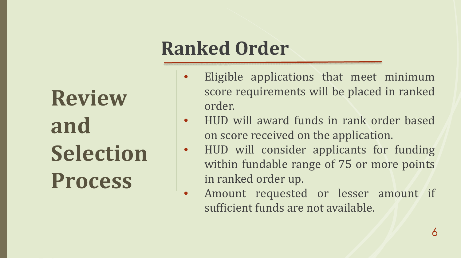### **Ranked Order**

- Eligible applications that meet minimum score requirements will be placed in ranked order.
- HUD will award funds in rank order based on score received on the application.
- HUD will consider applicants for funding within fundable range of 75 or more points in ranked order up.
- Amount requested or lesser amount if sufficient funds are not available.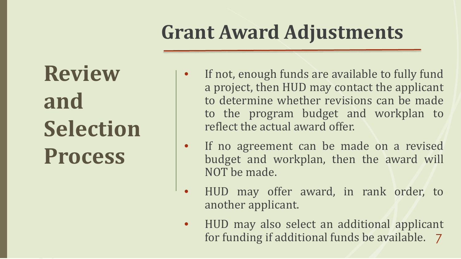### **Grant Award Adjustments**

- If not, enough funds are available to fully fund a project, then HUD may contact the applicant to determine whether revisions can be made to the program budget and workplan to reflect the actual award offer.
- If no agreement can be made on a revised budget and workplan, then the award will NOT be made.
- HUD may offer award, in rank order, to another applicant.
- 7 for funding if additional funds be available.• HUD may also select an additional applicant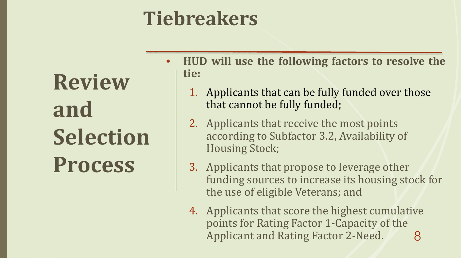### **Tiebreakers**

- **HUD will use the following factors to resolve the tie:**
	- 1. Applicants that can be fully funded over those that cannot be fully funded;
	- 2. Applicants that receive the most points according to Subfactor 3.2, Availability of Housing Stock;
	- 3. Applicants that propose to leverage other funding sources to increase its housing stock for the use of eligible Veterans; and
	- 8 4. Applicants that score the highest cumulative points for Rating Factor 1-Capacity of the Applicant and Rating Factor 2-Need.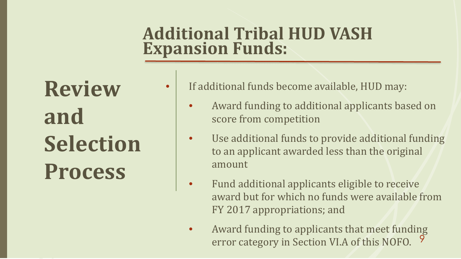#### **Additional Tribal HUD VASH Expansion Funds:**

- If additional funds become available, HUD may:
	- Award funding to additional applicants based on score from competition
	- Use additional funds to provide additional funding to an applicant awarded less than the original amount
	- Fund additional applicants eligible to receive award but for which no funds were available from FY 2017 appropriations; and
	- 9 • Award funding to applicants that meet funding error category in Section VI.A of this NOFO.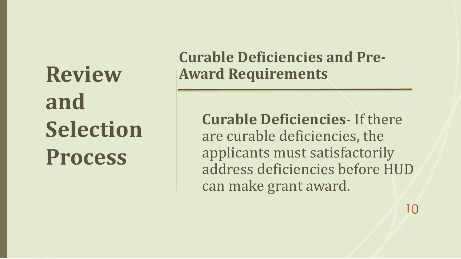#### **Curable Deficiencies and Pre-Award Requirements**

**Curable Deficiencies**- If there are curable deficiencies, the applicants must satisfactorily address deficiencies before HUD can make grant award.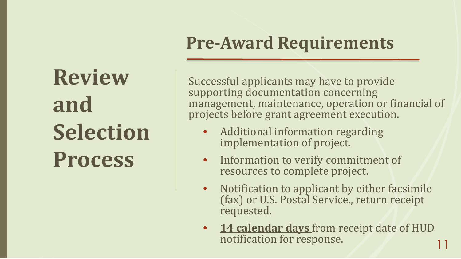### **Pre-Award Requirements**

Successful applicants may have to provide supporting documentation concerning management, maintenance, operation or financial of projects before grant agreement execution.

- Additional information regarding implementation of project.
- Information to verify commitment of resources to complete project.
- Notification to applicant by either facsimile (fax) or U.S. Postal Service., return receipt requested.
- 11 14 calendar days from receipt date of HUD notification for response.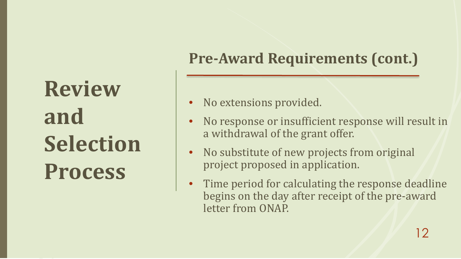### **Pre-Award Requirements (cont.)**

- No extensions provided.
- No response or insufficient response will result in a withdrawal of the grant offer.
- No substitute of new projects from original project proposed in application.
- Time period for calculating the response deadline begins on the day after receipt of the pre-award letter from ONAP.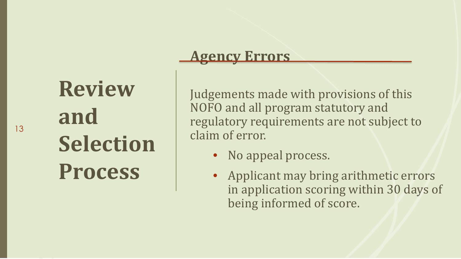#### **Agency Errors**

Judgements made with provisions of this NOFO and all program statutory and regulatory requirements are not subject to claim of error.

- No appeal process.
- Applicant may bring arithmetic errors in application scoring within 30 days of being informed of score.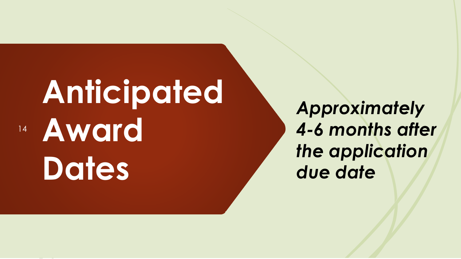# **Anticipated Award Dates**

14

*Approximately 4-6 months after the application due date*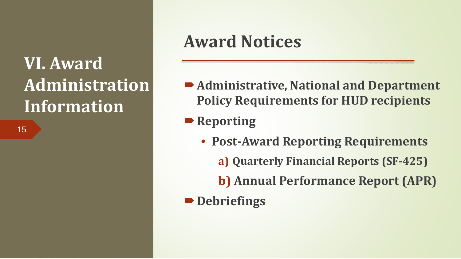15

### **Award Notices**

- **Administrative, National and Department Policy Requirements for HUD recipients**
- **Reporting** 
	- **Post-Award Reporting Requirements** 
		- **a) Quarterly Financial Reports (SF-425)**
		- **b) Annual Performance Report (APR)**
- **Debriefings**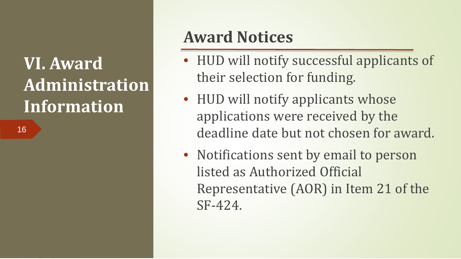16

### **Award Notices**

- HUD will notify successful applicants of their selection for funding.
- HUD will notify applicants whose applications were received by the deadline date but not chosen for award.
- Notifications sent by email to person listed as Authorized Official Representative (AOR) in Item 21 of the SF-424.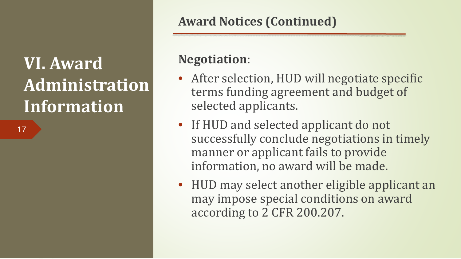17

#### **Award Notices (Continued)**

#### **Negotiation**:

- After selection, HUD will negotiate specific terms funding agreement and budget of selected applicants.
- If HUD and selected applicant do not successfully conclude negotiations in timely manner or applicant fails to provide information, no award will be made.
- HUD may select another eligible applicant an may impose special conditions on award according to 2 CFR 200.207.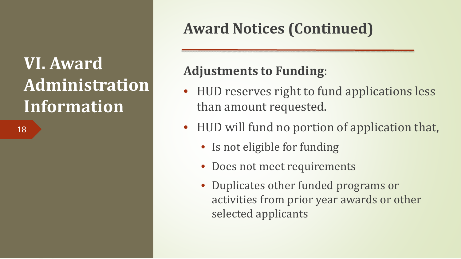18

### **Award Notices (Continued)**

#### **Adjustments to Funding**:

- HUD reserves right to fund applications less than amount requested.
- HUD will fund no portion of application that,
	- Is not eligible for funding
	- Does not meet requirements
	- Duplicates other funded programs or activities from prior year awards or other selected applicants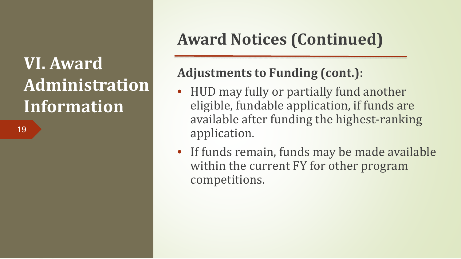19

### **Award Notices (Continued)**

#### **Adjustments to Funding (cont.)**:

- HUD may fully or partially fund another eligible, fundable application, if funds are available after funding the highest-ranking application.
- If funds remain, funds may be made available within the current FY for other program competitions.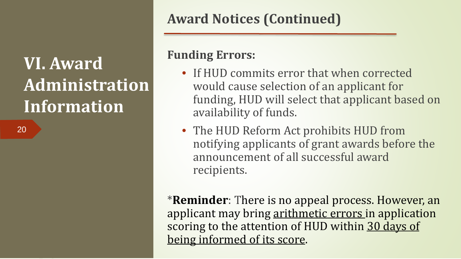20

#### **Award Notices (Continued)**

#### **Funding Errors:**

- If HUD commits error that when corrected would cause selection of an applicant for funding, HUD will select that applicant based on availability of funds.
- The HUD Reform Act prohibits HUD from notifying applicants of grant awards before the announcement of all successful award recipients.

\***Reminder**: There is no appeal process. However, an applicant may bring arithmetic errors in application scoring to the attention of HUD within 30 days of being informed of its score.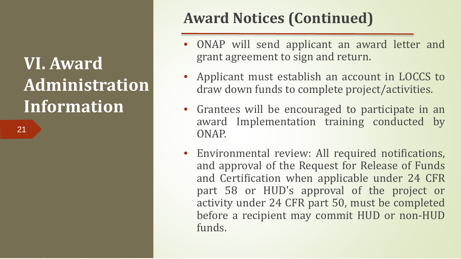21

### **Award Notices (Continued)**

- ONAP will send applicant an award letter and grant agreement to sign and return.
- Applicant must establish an account in LOCCS to draw down funds to complete project/activities.
- Grantees will be encouraged to participate in an award Implementation training conducted by ONAP.
- Environmental review: All required notifications, and approval of the Request for Release of Funds and Certification when applicable under 24 CFR part 58 or HUD's approval of the project or activity under 24 CFR part 50, must be completed before a recipient may commit HUD or non-HUD funds.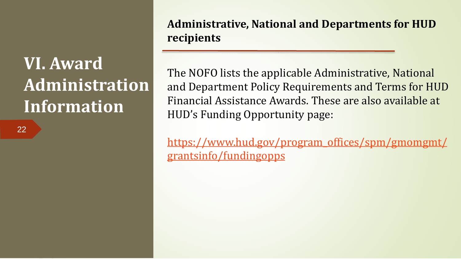22

**Administrative, National and Departments for HUD recipients**

The NOFO lists the applicable Administrative, National and Department Policy Requirements and Terms for HUD Financial Assistance Awards. These are also available at HUD's Funding Opportunity page:

[https://www.hud.gov/program\\_offices/spm/gmomgmt/](https://www.hud.gov/program_offices/spm/gmomgmt/grantsinfo/fundingopps) grantsinfo/fundingopps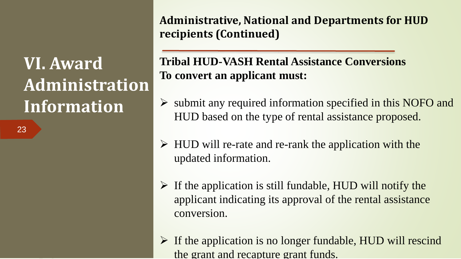23

**Administrative, National and Departments for HUD recipients (Continued)**

#### **Tribal HUD-VASH Rental Assistance Conversions To convert an applicant must:**

- $\triangleright$  submit any required information specified in this NOFO and HUD based on the type of rental assistance proposed.
- $\triangleright$  HUD will re-rate and re-rank the application with the updated information.
- $\triangleright$  If the application is still fundable, HUD will notify the applicant indicating its approval of the rental assistance conversion.
- $\triangleright$  If the application is no longer fundable, HUD will rescind the grant and recapture grant funds.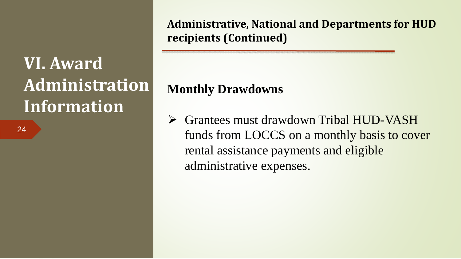24

**Administrative, National and Departments for HUD recipients (Continued)**

#### **Monthly Drawdowns**

 Grantees must drawdown Tribal HUD-VASH funds from LOCCS on a monthly basis to cover rental assistance payments and eligible administrative expenses.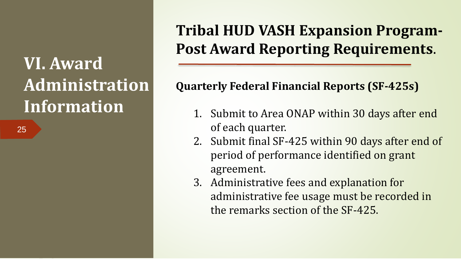25

#### **Tribal HUD VASH Expansion Program-Post Award Reporting Requirements**.

#### **Quarterly Federal Financial Reports (SF-425s)**

- 1. Submit to Area ONAP within 30 days after end of each quarter.
- 2. Submit final SF-425 within 90 days after end of period of performance identified on grant agreement.
- 3. Administrative fees and explanation for administrative fee usage must be recorded in the remarks section of the SF-425.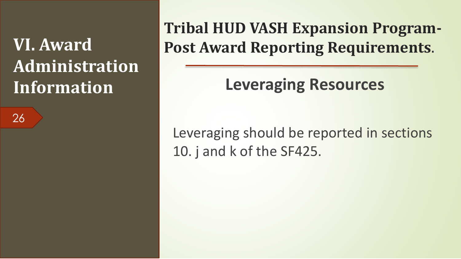26

**Tribal HUD VASH Expansion Program-Post Award Reporting Requirements**.

**Leveraging Resources**

Leveraging should be reported in sections 10. j and k of the SF425.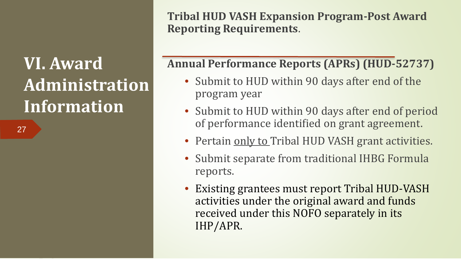27

**Tribal HUD VASH Expansion Program-Post Award Reporting Requirements**.

#### **Annual Performance Reports (APRs) (HUD-52737)**

- Submit to HUD within 90 days after end of the program year
- Submit to HUD within 90 days after end of period of performance identified on grant agreement.
- Pertain only to Tribal HUD VASH grant activities.
- Submit separate from traditional IHBG Formula reports.
- Existing grantees must report Tribal HUD-VASH activities under the original award and funds received under this NOFO separately in its IHP/APR.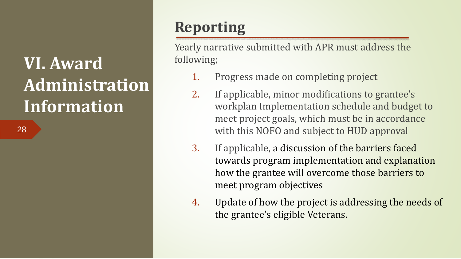28

#### **Reporting**

Yearly narrative submitted with APR must address the following;

- 1. Progress made on completing project
- 2. If applicable, minor modifications to grantee's workplan Implementation schedule and budget to meet project goals, which must be in accordance with this NOFO and subject to HUD approval
- 3. If applicable, a discussion of the barriers faced towards program implementation and explanation how the grantee will overcome those barriers to meet program objectives
- 4. Update of how the project is addressing the needs of the grantee's eligible Veterans.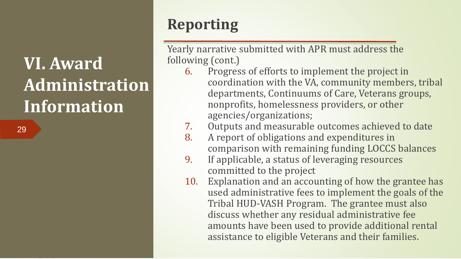29

#### **Reporting**

Yearly narrative submitted with APR must address the following (cont.)

- 6. Progress of efforts to implement the project in coordination with the VA, community members, tribal departments, Continuums of Care, Veterans groups, nonprofits, homelessness providers, or other agencies/organizations;
- 7. Outputs and measurable outcomes achieved to date
- 8. A report of obligations and expenditures in comparison with remaining funding LOCCS balances
- 9. If applicable, a status of leveraging resources committed to the project
- 10. Explanation and an accounting of how the grantee has used administrative fees to implement the goals of the Tribal HUD-VASH Program. The grantee must also discuss whether any residual administrative fee amounts have been used to provide additional rental assistance to eligible Veterans and their families.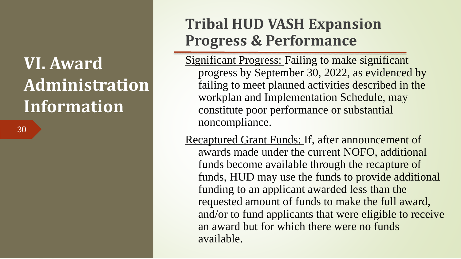30

#### **Tribal HUD VASH Expansion Progress & Performance**

- Significant Progress: Failing to make significant progress by September 30, 2022, as evidenced by failing to meet planned activities described in the workplan and Implementation Schedule, may constitute poor performance or substantial noncompliance.
- Recaptured Grant Funds: If, after announcement of awards made under the current NOFO, additional funds become available through the recapture of funds, HUD may use the funds to provide additional funding to an applicant awarded less than the requested amount of funds to make the full award, and/or to fund applicants that were eligible to receive an award but for which there were no funds available.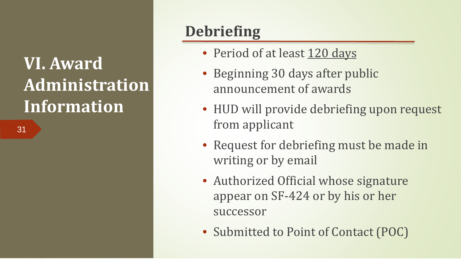31

#### **Debriefing**

- Period of at least 120 days
- Beginning 30 days after public announcement of awards
- HUD will provide debriefing upon request from applicant
- Request for debriefing must be made in writing or by email
- Authorized Official whose signature appear on SF-424 or by his or her successor
- Submitted to Point of Contact (POC)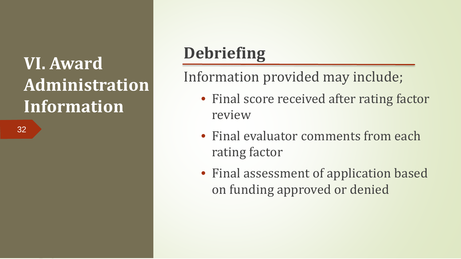32

### **Debriefing**

Information provided may include;

- Final score received after rating factor review
- Final evaluator comments from each rating factor
- Final assessment of application based on funding approved or denied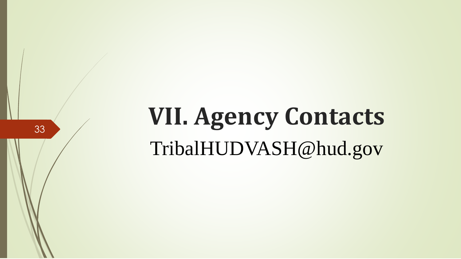# **VII. Agency Contacts**  TribalHUDVASH@hud.gov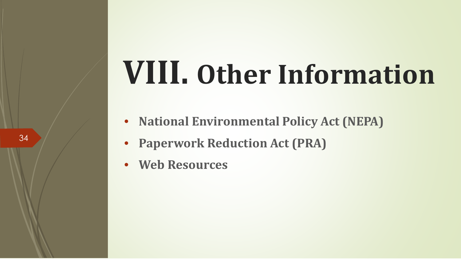# **VIII. Other Information**

- **National Environmental Policy Act (NEPA)**
- **Paperwork Reduction Act (PRA)**
- **Web Resources**